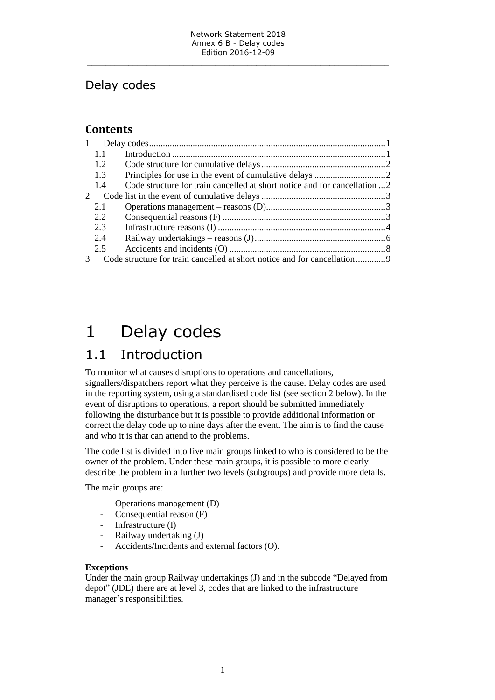### Delay codes

### **Contents**

| $\mathbf{1}$  |     |                                                                           |  |
|---------------|-----|---------------------------------------------------------------------------|--|
|               | 1.1 |                                                                           |  |
|               | 1.2 |                                                                           |  |
|               | 1.3 |                                                                           |  |
|               | 1.4 | Code structure for train cancelled at short notice and for cancellation 2 |  |
| $\mathcal{D}$ |     |                                                                           |  |
|               | 2.1 |                                                                           |  |
|               | 2.2 |                                                                           |  |
|               | 2.3 |                                                                           |  |
|               | 2.4 |                                                                           |  |
|               | 2.5 |                                                                           |  |
|               |     |                                                                           |  |

# <span id="page-0-0"></span>1 Delay codes

### <span id="page-0-1"></span>1.1 Introduction

To monitor what causes disruptions to operations and cancellations, signallers/dispatchers report what they perceive is the cause. Delay codes are used in the reporting system, using a standardised code list (see section 2 below). In the event of disruptions to operations, a report should be submitted immediately following the disturbance but it is possible to provide additional information or correct the delay code up to nine days after the event. The aim is to find the cause and who it is that can attend to the problems.

The code list is divided into five main groups linked to who is considered to be the owner of the problem. Under these main groups, it is possible to more clearly describe the problem in a further two levels (subgroups) and provide more details.

The main groups are:

- Operations management (D)
- Consequential reason (F)
- Infrastructure (I)
- Railway undertaking (J)
- Accidents/Incidents and external factors (O).

#### **Exceptions**

Under the main group Railway undertakings (J) and in the subcode "Delayed from depot" (JDE) there are at level 3, codes that are linked to the infrastructure manager's responsibilities.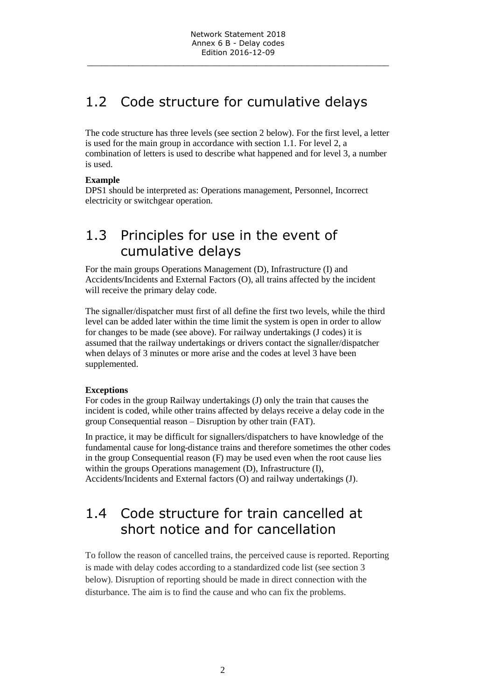### <span id="page-1-0"></span>1.2 Code structure for cumulative delays

The code structure has three levels (see section 2 below). For the first level, a letter is used for the main group in accordance with section 1.1. For level 2, a combination of letters is used to describe what happened and for level 3, a number is used.

#### **Example**

DPS1 should be interpreted as: Operations management, Personnel, Incorrect electricity or switchgear operation.

### <span id="page-1-1"></span>1.3 Principles for use in the event of cumulative delays

For the main groups Operations Management (D), Infrastructure (I) and Accidents/Incidents and External Factors (O), all trains affected by the incident will receive the primary delay code.

The signaller/dispatcher must first of all define the first two levels, while the third level can be added later within the time limit the system is open in order to allow for changes to be made (see above). For railway undertakings (J codes) it is assumed that the railway undertakings or drivers contact the signaller/dispatcher when delays of 3 minutes or more arise and the codes at level 3 have been supplemented.

#### **Exceptions**

For codes in the group Railway undertakings (J) only the train that causes the incident is coded, while other trains affected by delays receive a delay code in the group Consequential reason – Disruption by other train (FAT).

In practice, it may be difficult for signallers/dispatchers to have knowledge of the fundamental cause for long-distance trains and therefore sometimes the other codes in the group Consequential reason (F) may be used even when the root cause lies within the groups Operations management (D), Infrastructure (I), Accidents/Incidents and External factors (O) and railway undertakings (J).

### <span id="page-1-2"></span>1.4 Code structure for train cancelled at short notice and for cancellation

To follow the reason of cancelled trains, the perceived cause is reported. Reporting is made with delay codes according to a standardized code list (see section 3 below). Disruption of reporting should be made in direct connection with the disturbance. The aim is to find the cause and who can fix the problems.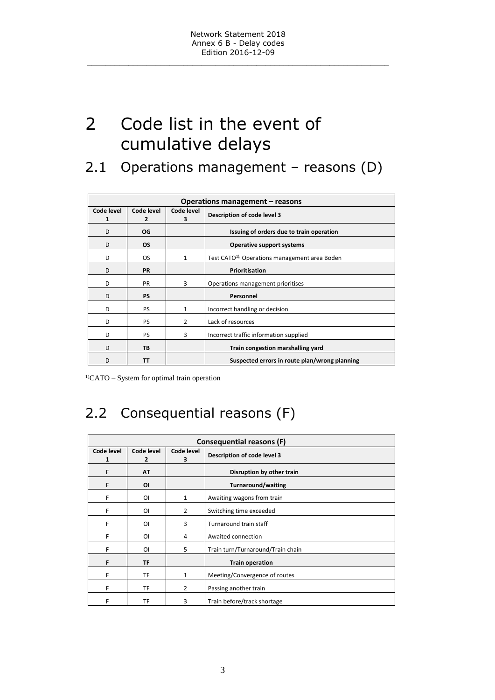# <span id="page-2-0"></span>2 Code list in the event of cumulative delays

### <span id="page-2-1"></span>2.1 Operations management – reasons (D)

| Operations management – reasons |                              |                 |                                                            |  |
|---------------------------------|------------------------------|-----------------|------------------------------------------------------------|--|
| Code level<br>1                 | Code level<br>$\overline{2}$ | Code level<br>3 | Description of code level 3                                |  |
| D                               | OG                           |                 | Issuing of orders due to train operation                   |  |
| D                               | <b>OS</b>                    |                 | <b>Operative support systems</b>                           |  |
| D                               | <b>OS</b>                    | $\mathbf{1}$    | Test CATO <sup>1)</sup> , Operations management area Boden |  |
| D                               | <b>PR</b>                    |                 | Prioritisation                                             |  |
| D                               | <b>PR</b>                    | 3               | Operations management prioritises                          |  |
| D                               | <b>PS</b>                    |                 | Personnel                                                  |  |
| D                               | <b>PS</b>                    | 1               | Incorrect handling or decision                             |  |
| D                               | <b>PS</b>                    | $\overline{2}$  | Lack of resources                                          |  |
| D                               | <b>PS</b>                    | 3               | Incorrect traffic information supplied                     |  |
| D                               | <b>TB</b>                    |                 | Train congestion marshalling yard                          |  |
| D                               | тт                           |                 | Suspected errors in route plan/wrong planning              |  |

1)CATO – System for optimal train operation

## <span id="page-2-2"></span>2.2 Consequential reasons (F)

| <b>Consequential reasons (F)</b> |                              |                 |                                   |  |
|----------------------------------|------------------------------|-----------------|-----------------------------------|--|
| Code level<br>1                  | Code level<br>$\overline{2}$ | Code level<br>3 | Description of code level 3       |  |
| F                                | <b>AT</b>                    |                 | Disruption by other train         |  |
| F                                | ΟI                           |                 | <b>Turnaround/waiting</b>         |  |
| F                                | ΟI                           | 1               | Awaiting wagons from train        |  |
| F                                | ΟI                           | $\overline{2}$  | Switching time exceeded           |  |
| F                                | ΟI                           | 3               | Turnaround train staff            |  |
| F                                | ΟI                           | 4               | Awaited connection                |  |
| F                                | ΟI                           | 5               | Train turn/Turnaround/Train chain |  |
| F                                | <b>TF</b>                    |                 | <b>Train operation</b>            |  |
| F                                | TF                           | 1               | Meeting/Convergence of routes     |  |
| F                                | TF                           | 2               | Passing another train             |  |
| F                                | TF                           | 3               | Train before/track shortage       |  |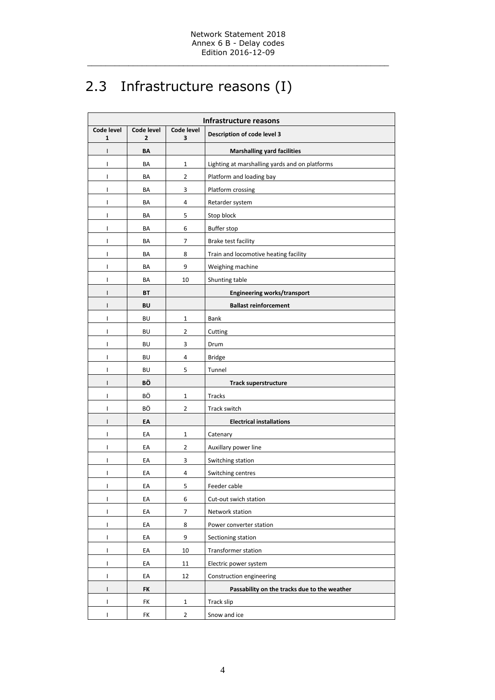## <span id="page-3-0"></span>2.3 Infrastructure reasons (I)

| Infrastructure reasons     |                              |                  |                                                |  |
|----------------------------|------------------------------|------------------|------------------------------------------------|--|
| Code level<br>$\mathbf{1}$ | Code level<br>$\overline{2}$ | Code level<br>3  | Description of code level 3                    |  |
| I                          | ВΛ                           |                  | <b>Marshalling yard facilities</b>             |  |
| T                          | BA                           | 1                | Lighting at marshalling yards and on platforms |  |
| $\mathbf{I}$               | BA                           | 2                | Platform and loading bay                       |  |
| T                          | BA                           | 3                | Platform crossing                              |  |
| T                          | BA                           | 4                | Retarder system                                |  |
| $\mathsf{I}$               | BA                           | 5                | Stop block                                     |  |
| T                          | BA                           | 6                | <b>Buffer stop</b>                             |  |
| T                          | BA                           | 7                | Brake test facility                            |  |
| T                          | BA                           | 8                | Train and locomotive heating facility          |  |
| T                          | BA                           | 9                | Weighing machine                               |  |
| T                          | BA                           | 10               | Shunting table                                 |  |
| $\mathsf{I}$               | BT                           |                  | <b>Engineering works/transport</b>             |  |
| I                          | BU                           |                  | <b>Ballast reinforcement</b>                   |  |
| T                          | BU                           | 1                | Bank                                           |  |
| T                          | BU                           | 2                | Cutting                                        |  |
| $\mathsf{I}$               | BU                           | 3                | Drum                                           |  |
| T                          | BU                           | 4                | <b>Bridge</b>                                  |  |
| T                          | BU                           | 5                | Tunnel                                         |  |
| $\mathsf{I}$               | BÖ                           |                  | <b>Track superstructure</b>                    |  |
| T                          | ВÖ                           | 1                | Tracks                                         |  |
| $\mathbf{I}$               | ВÖ                           | 2                | Track switch                                   |  |
| $\mathsf{I}$               | ЕΑ                           |                  | <b>Electrical installations</b>                |  |
| $\mathsf{I}$               | EA                           | $\mathbf 1$      | Catenary                                       |  |
| T                          | EA                           | $\overline{2}$   | Auxillary power line                           |  |
| T                          | EA                           | 3                | Switching station                              |  |
| T                          | EA                           | 4                | Switching centres                              |  |
| T                          | EA                           | 5                | Feeder cable                                   |  |
| I                          | EA                           | $\,6\,$          | Cut-out swich station                          |  |
| $\mathsf I$                | EA                           | $\boldsymbol{7}$ | Network station                                |  |
| $\mathsf{I}$               | EA                           | 8                | Power converter station                        |  |
| T                          | EA                           | 9                | Sectioning station                             |  |
| T                          | EA                           | 10               | Transformer station                            |  |
| T                          | EA                           | 11               | Electric power system                          |  |
| T                          | EA                           | 12               | Construction engineering                       |  |
| $\mathsf{I}$               | <b>FK</b>                    |                  | Passability on the tracks due to the weather   |  |
| $\mathsf{I}$               | FK                           | $\mathbf{1}$     | Track slip                                     |  |
| $\mathsf{I}$               | FK                           | $\overline{2}$   | Snow and ice                                   |  |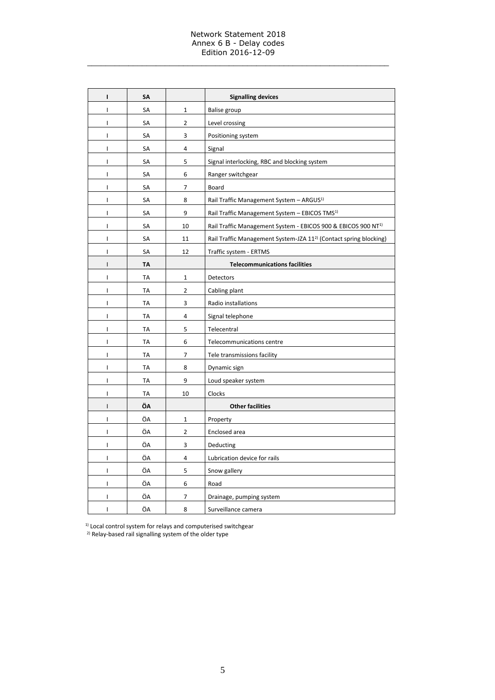#### Network Statement 2018 Annex 6 B - Delay codes Edition 2016-12-09

\_\_\_\_\_\_\_\_\_\_\_\_\_\_\_\_\_\_\_\_\_\_\_\_\_\_\_\_\_\_\_\_\_\_\_\_\_\_\_\_\_\_\_\_\_\_\_\_\_\_\_\_\_\_\_\_\_\_\_\_\_\_\_\_\_\_

| $\mathbf{I}$ | SΑ        |                | <b>Signalling devices</b>                                                     |
|--------------|-----------|----------------|-------------------------------------------------------------------------------|
| I            | SA        | $\mathbf 1$    | Balise group                                                                  |
| L            | <b>SA</b> | $\overline{2}$ | Level crossing                                                                |
| I            | SA        | 3              | Positioning system                                                            |
| I            | SA        | 4              | Signal                                                                        |
| I            | SA        | 5              | Signal interlocking, RBC and blocking system                                  |
| I            | SA        | 6              | Ranger switchgear                                                             |
| I            | SA        | 7              | Board                                                                         |
| I            | SA        | 8              | Rail Traffic Management System - ARGUS <sup>1)</sup>                          |
| L            | SA        | 9              | Rail Traffic Management System - EBICOS TMS <sup>1)</sup>                     |
| I            | SA        | 10             | Rail Traffic Management System - EBICOS 900 & EBICOS 900 NT <sup>1)</sup>     |
| L            | SA        | 11             | Rail Traffic Management System-JZA 11 <sup>2)</sup> (Contact spring blocking) |
| I            | SA        | 12             | Traffic system - ERTMS                                                        |
| $\mathsf{I}$ | TA        |                | <b>Telecommunications facilities</b>                                          |
| L            | TA        | $\mathbf 1$    | Detectors                                                                     |
| L            | TA        | $\overline{2}$ | Cabling plant                                                                 |
| L            | TA        | 3              | Radio installations                                                           |
| L            | TA        | 4              | Signal telephone                                                              |
| I            | TA        | 5              | Telecentral                                                                   |
| I            | TA        | 6              | Telecommunications centre                                                     |
| L            | TA        | 7              | Tele transmissions facility                                                   |
| I            | <b>TA</b> | 8              | Dynamic sign                                                                  |
| I            | <b>TA</b> | 9              | Loud speaker system                                                           |
| I            | <b>TA</b> | 10             | Clocks                                                                        |
| I            | ÖΛ        |                | <b>Other facilities</b>                                                       |
| L            | ÖA        | $\mathbf 1$    | Property                                                                      |
| L            | ÖA        | $\overline{2}$ | Enclosed area                                                                 |
| I            | ÖA        | 3              | Deducting                                                                     |
| L            | ÖA        | 4              | Lubrication device for rails                                                  |
| L            | ÖA        | 5              | Snow gallery                                                                  |
| I            | ÖA        | 6              | Road                                                                          |
| I            | ÖA        | 7              | Drainage, pumping system                                                      |
| I            | ÖΑ        | 8              | Surveillance camera                                                           |

 $1)$  Local control system for relays and computerised switchgear

<sup>2)</sup> Relay-based rail signalling system of the older type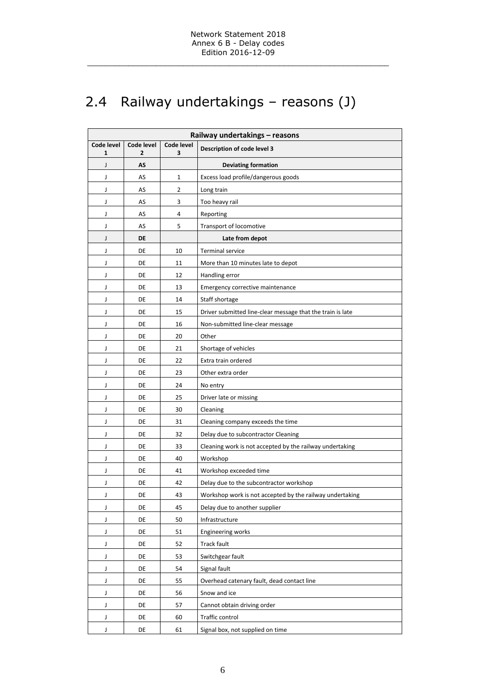## <span id="page-5-0"></span>2.4 Railway undertakings – reasons (J)

| Railway undertakings - reasons |                 |                 |                                                            |  |
|--------------------------------|-----------------|-----------------|------------------------------------------------------------|--|
| Code level<br>1                | Code level<br>2 | Code level<br>3 | Description of code level 3                                |  |
| J                              | AS              |                 | <b>Deviating formation</b>                                 |  |
| J                              | AS              | 1               | Excess load profile/dangerous goods                        |  |
| J                              | AS              | 2               | Long train                                                 |  |
| J                              | AS              | 3               | Too heavy rail                                             |  |
| J                              | AS              | 4               | Reporting                                                  |  |
| J                              | AS              | 5               | Transport of locomotive                                    |  |
| J                              | DE              |                 | Late from depot                                            |  |
| J                              | DE              | 10              | <b>Terminal service</b>                                    |  |
| J                              | DE              | 11              | More than 10 minutes late to depot                         |  |
| J                              | DE              | 12              | Handling error                                             |  |
| J                              | DE              | 13              | Emergency corrective maintenance                           |  |
| J                              | DE              | 14              | Staff shortage                                             |  |
| J                              | DE              | 15              | Driver submitted line-clear message that the train is late |  |
| J                              | DE              | 16              | Non-submitted line-clear message                           |  |
| J                              | DE              | 20              | Other                                                      |  |
| J                              | DE              | 21              | Shortage of vehicles                                       |  |
| J                              | DE              | 22              | Extra train ordered                                        |  |
| J                              | DE              | 23              | Other extra order                                          |  |
| J                              | DE              | 24              | No entry                                                   |  |
| J                              | DE              | 25              | Driver late or missing                                     |  |
| J                              | DE              | 30              | Cleaning                                                   |  |
| J                              | DE              | 31              | Cleaning company exceeds the time                          |  |
| J                              | DE              | 32              | Delay due to subcontractor Cleaning                        |  |
| J                              | DE              | 33              | Cleaning work is not accepted by the railway undertaking   |  |
| J                              | DE              | 40              | Workshop                                                   |  |
| J                              | DE              | 41              | Workshop exceeded time                                     |  |
| J                              | DE              | 42              | Delay due to the subcontractor workshop                    |  |
| J                              | DE              | 43              | Workshop work is not accepted by the railway undertaking   |  |
| J                              | DE              | 45              | Delay due to another supplier                              |  |
| J                              | DE              | 50              | Infrastructure                                             |  |
| J                              | DE              | 51              | <b>Engineering works</b>                                   |  |
| J                              | DE              | 52              | Track fault                                                |  |
| J                              | DE              | 53              | Switchgear fault                                           |  |
| J                              | DE              | 54              | Signal fault                                               |  |
| J                              | DE              | 55              | Overhead catenary fault, dead contact line                 |  |
| J                              | DE              | 56              | Snow and ice                                               |  |
| J                              | DE              | 57              | Cannot obtain driving order                                |  |
| J                              | DE              | 60              | Traffic control                                            |  |
| J                              | DE              | 61              | Signal box, not supplied on time                           |  |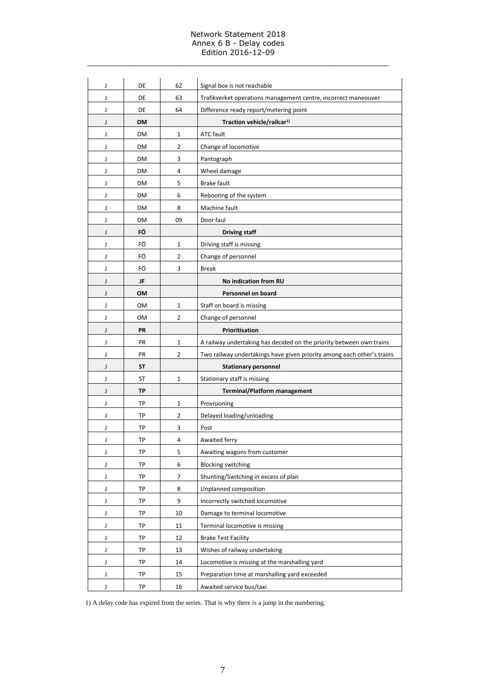#### Network Statement 2018 Annex 6 B - Delay codes Edition 2016-12-09

\_\_\_\_\_\_\_\_\_\_\_\_\_\_\_\_\_\_\_\_\_\_\_\_\_\_\_\_\_\_\_\_\_\_\_\_\_\_\_\_\_\_\_\_\_\_\_\_\_\_\_\_\_\_\_\_\_\_\_\_\_\_\_\_\_\_

| J | DE        | 62             | Signal box is not reachable                                            |
|---|-----------|----------------|------------------------------------------------------------------------|
| J | DE        | 63             | Trafikverket operations management centre, incorrect maneouver         |
| J | DE        | 64             | Difference ready report/metering point                                 |
| J | DM        |                | Traction vehicle/railcar <sup>1)</sup>                                 |
| J | DM        | $\mathbf{1}$   | <b>ATC fault</b>                                                       |
| J | DM        | 2              | Change of locomotive                                                   |
| J | DM        | 3              | Pantograph                                                             |
| J | DM        | 4              | Wheel damage                                                           |
| J | DM        | 5              | <b>Brake fault</b>                                                     |
| J | DM        | 6              | Rebooting of the system                                                |
| J | DM        | 8              | Machine fault                                                          |
| J | DM        | 09             | Door faul                                                              |
| J | FÖ        |                | <b>Driving staff</b>                                                   |
| J | FÖ        | $\mathbf{1}$   | Driving staff is missing                                               |
| J | FÖ        | 2              | Change of personnel                                                    |
| J | FÖ        | 3              | <b>Break</b>                                                           |
| J | JF        |                | No indication from RU                                                  |
| J | OM        |                | <b>Personnel on board</b>                                              |
| J | OM        | $\mathbf{1}$   | Staff on board is missing                                              |
| J | 0M        | 2              | Change of personnel                                                    |
| J | PR        |                | Prioritisation                                                         |
| J | PR        | $\mathbf{1}$   | A railway undertaking has decided on the priority between own trains   |
| J | PR        | $\overline{2}$ | Two railway undertakings have given priority among each other's trains |
| J | <b>ST</b> |                | <b>Stationary personnel</b>                                            |
| J | ST        | 1              | Stationary staff is missing                                            |
| J | <b>TP</b> |                | <b>Terminal/Platform management</b>                                    |
| J | TP        | $\mathbf{1}$   | Provisioning                                                           |
| J | <b>TP</b> | 2              | Delayed loading/unloading                                              |
| J | TP        | 3              | Post                                                                   |
| J | TP        | 4              | Awaited ferry                                                          |
| J | TP        | 5              | Awaiting wagons from customer                                          |
| J | <b>TP</b> | 6              | <b>Blocking switching</b>                                              |
| J | TP        | 7              | Shunting/Switching in excess of plan                                   |
| J | TP        | 8              | Unplanned composition                                                  |
| J | TP        | 9              | Incorrectly switched locomotive                                        |
| J | TP        | 10             | Damage to terminal locomotive                                          |
| J | TP        | 11             | Terminal locomotive is missing                                         |
| J | TP        | 12             | <b>Brake Test Facility</b>                                             |
| J | TP        | 13             | Wishes of railway undertaking                                          |
| J | TP        | 14             | Locomotive is missing at the marshalling yard                          |
| J | TP        | 15             | Preparation time at marshalling yard exceeded                          |
| J | TP        | 16             | Awaited service bus/taxi                                               |

1) A delay code has expired from the series. That is why there is a jump in the numbering.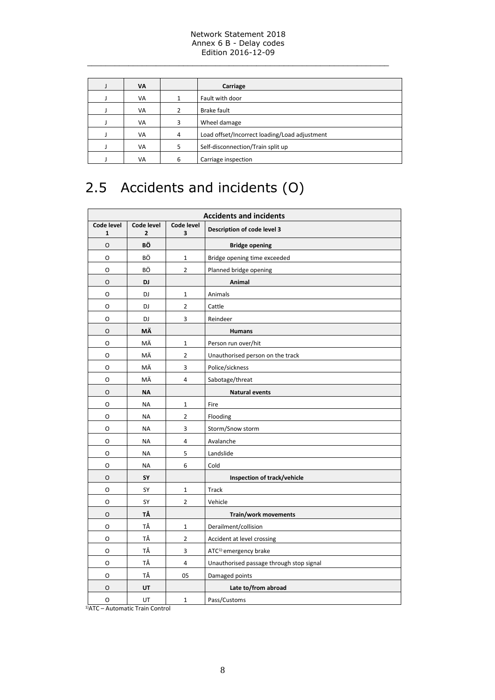#### Network Statement 2018 Annex 6 B - Delay codes Edition 2016-12-09

\_\_\_\_\_\_\_\_\_\_\_\_\_\_\_\_\_\_\_\_\_\_\_\_\_\_\_\_\_\_\_\_\_\_\_\_\_\_\_\_\_\_\_\_\_\_\_\_\_\_\_\_\_\_\_\_\_\_\_\_\_\_\_\_\_\_

| VA |   | Carriage                                      |  |  |
|----|---|-----------------------------------------------|--|--|
| VA |   | Fault with door                               |  |  |
| VA | 2 | Brake fault                                   |  |  |
| VA | 3 | Wheel damage                                  |  |  |
| VA | 4 | Load offset/Incorrect loading/Load adjustment |  |  |
| VA | 5 | Self-disconnection/Train split up             |  |  |
| VA | 6 | Carriage inspection                           |  |  |

## <span id="page-7-0"></span>2.5 Accidents and incidents (O)

| <b>Accidents and incidents</b> |                              |                         |                                          |  |
|--------------------------------|------------------------------|-------------------------|------------------------------------------|--|
| Code level<br>1                | Code level<br>$\overline{2}$ | Code level<br>3         | Description of code level 3              |  |
| O                              | BÖ                           |                         | <b>Bridge opening</b>                    |  |
| O                              | BÖ                           | $\mathbf 1$             | Bridge opening time exceeded             |  |
| О                              | ВÖ                           | $\overline{2}$          | Planned bridge opening                   |  |
| O                              | DJ                           |                         | Animal                                   |  |
| O                              | DJ                           | $\mathbf 1$             | Animals                                  |  |
| O                              | DJ                           | $\overline{2}$          | Cattle                                   |  |
| О                              | DJ                           | 3                       | Reindeer                                 |  |
| O                              | ΜÄ                           |                         | <b>Humans</b>                            |  |
| 0                              | ΜÄ                           | $\mathbf 1$             | Person run over/hit                      |  |
| O                              | MÄ                           | $\overline{2}$          | Unauthorised person on the track         |  |
| O                              | ΜÄ                           | 3                       | Police/sickness                          |  |
| 0                              | ΜÄ                           | 4                       | Sabotage/threat                          |  |
| O                              | <b>NA</b>                    |                         | <b>Natural events</b>                    |  |
| О                              | <b>NA</b>                    | $\mathbf 1$             | Fire                                     |  |
| O                              | <b>NA</b>                    | $\overline{2}$          | Flooding                                 |  |
| O                              | <b>NA</b>                    | 3                       | Storm/Snow storm                         |  |
| 0                              | <b>NA</b>                    | 4                       | Avalanche                                |  |
| O                              | <b>NA</b>                    | 5                       | Landslide                                |  |
| O                              | <b>NA</b>                    | 6                       | Cold                                     |  |
| O                              | SY                           |                         | Inspection of track/vehicle              |  |
| O                              | SΥ                           | $\mathbf 1$             | Track                                    |  |
| 0                              | SY                           | $\overline{2}$          | Vehicle                                  |  |
| O                              | ΤÅ                           |                         | Train/work movements                     |  |
| O                              | ΤÅ                           | $\mathbf{1}$            | Derailment/collision                     |  |
| 0                              | ТÅ                           | $\overline{2}$          | Accident at level crossing               |  |
| O                              | ТÅ                           | 3                       | ATC <sup>1)-</sup> emergency brake       |  |
| O                              | ΤÅ                           | $\overline{\mathbf{4}}$ | Unauthorised passage through stop signal |  |
| O                              | ТÅ                           | 05                      | Damaged points                           |  |
| O                              | UT                           |                         | Late to/from abroad                      |  |
| 0                              | UT                           | $\mathbf{1}$            | Pass/Customs                             |  |

1)ATC – Automatic Train Control